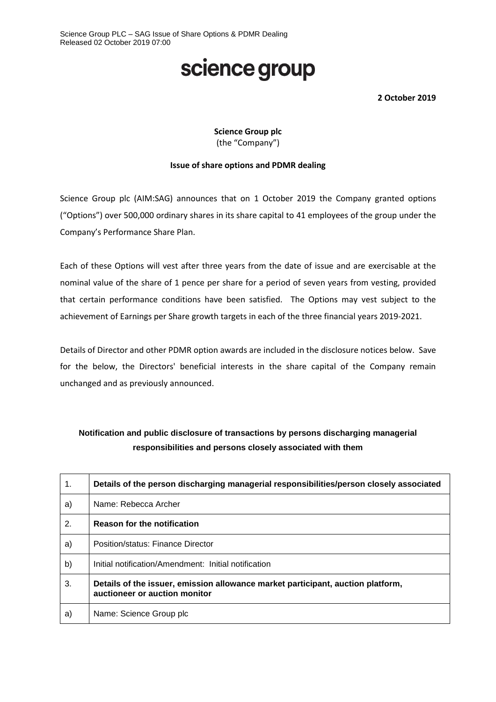# science group

**2 October 2019**

## **Science Group plc** (the "Company")

#### **Issue of share options and PDMR dealing**

Science Group plc (AIM:SAG) announces that on 1 October 2019 the Company granted options ("Options") over 500,000 ordinary shares in its share capital to 41 employees of the group under the Company's Performance Share Plan.

Each of these Options will vest after three years from the date of issue and are exercisable at the nominal value of the share of 1 pence per share for a period of seven years from vesting, provided that certain performance conditions have been satisfied. The Options may vest subject to the achievement of Earnings per Share growth targets in each of the three financial years 2019-2021.

Details of Director and other PDMR option awards are included in the disclosure notices below. Save for the below, the Directors' beneficial interests in the share capital of the Company remain unchanged and as previously announced.

# **Notification and public disclosure of transactions by persons discharging managerial responsibilities and persons closely associated with them**

| 1. | Details of the person discharging managerial responsibilities/person closely associated                          |  |
|----|------------------------------------------------------------------------------------------------------------------|--|
| a) | Name: Rebecca Archer                                                                                             |  |
| 2. | <b>Reason for the notification</b>                                                                               |  |
| a) | Position/status: Finance Director                                                                                |  |
| b) | Initial notification/Amendment: Initial notification                                                             |  |
| 3. | Details of the issuer, emission allowance market participant, auction platform,<br>auctioneer or auction monitor |  |
| a) | Name: Science Group plc                                                                                          |  |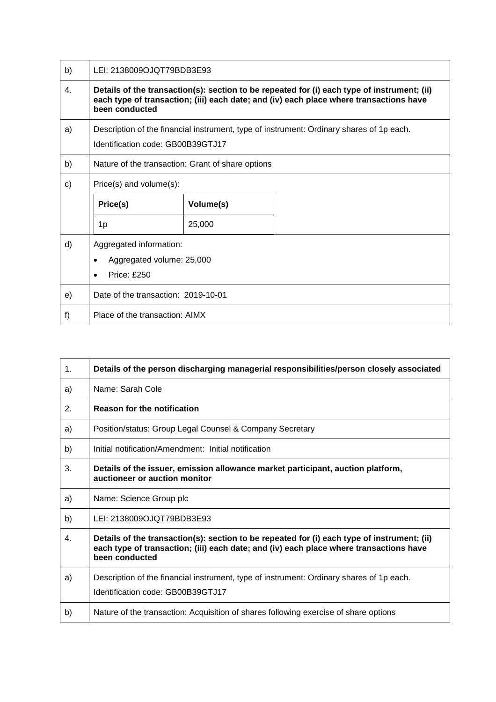| b)           | LEI: 2138009OJQT79BDB3E93                                                                                                                                                                               |           |  |  |
|--------------|---------------------------------------------------------------------------------------------------------------------------------------------------------------------------------------------------------|-----------|--|--|
| 4.           | Details of the transaction(s): section to be repeated for (i) each type of instrument; (ii)<br>each type of transaction; (iii) each date; and (iv) each place where transactions have<br>been conducted |           |  |  |
| a)           | Description of the financial instrument, type of instrument: Ordinary shares of 1p each.<br>Identification code: GB00B39GTJ17                                                                           |           |  |  |
| b)           | Nature of the transaction: Grant of share options                                                                                                                                                       |           |  |  |
| $\mathbf{C}$ | Price(s) and volume(s):                                                                                                                                                                                 |           |  |  |
|              | Price(s)                                                                                                                                                                                                | Volume(s) |  |  |
|              | 1p                                                                                                                                                                                                      | 25,000    |  |  |
| d)           | Aggregated information:<br>Aggregated volume: 25,000<br><b>Price: £250</b><br>$\bullet$                                                                                                                 |           |  |  |
| e)           | Date of the transaction: 2019-10-01                                                                                                                                                                     |           |  |  |
| f)           | Place of the transaction: AIMX                                                                                                                                                                          |           |  |  |

| 1 <sub>1</sub> | Details of the person discharging managerial responsibilities/person closely associated                                                                                                                 |  |  |
|----------------|---------------------------------------------------------------------------------------------------------------------------------------------------------------------------------------------------------|--|--|
| a)             | Name: Sarah Cole                                                                                                                                                                                        |  |  |
| 2.             | <b>Reason for the notification</b>                                                                                                                                                                      |  |  |
| a)             | Position/status: Group Legal Counsel & Company Secretary                                                                                                                                                |  |  |
| b)             | Initial notification/Amendment: Initial notification                                                                                                                                                    |  |  |
| 3.             | Details of the issuer, emission allowance market participant, auction platform,<br>auctioneer or auction monitor                                                                                        |  |  |
| a)             | Name: Science Group plc                                                                                                                                                                                 |  |  |
| b)             | LEI: 2138009OJQT79BDB3E93                                                                                                                                                                               |  |  |
| 4.             | Details of the transaction(s): section to be repeated for (i) each type of instrument; (ii)<br>each type of transaction; (iii) each date; and (iv) each place where transactions have<br>been conducted |  |  |
| a)             | Description of the financial instrument, type of instrument: Ordinary shares of 1p each.<br>Identification code: GB00B39GTJ17                                                                           |  |  |
| b)             | Nature of the transaction: Acquisition of shares following exercise of share options                                                                                                                    |  |  |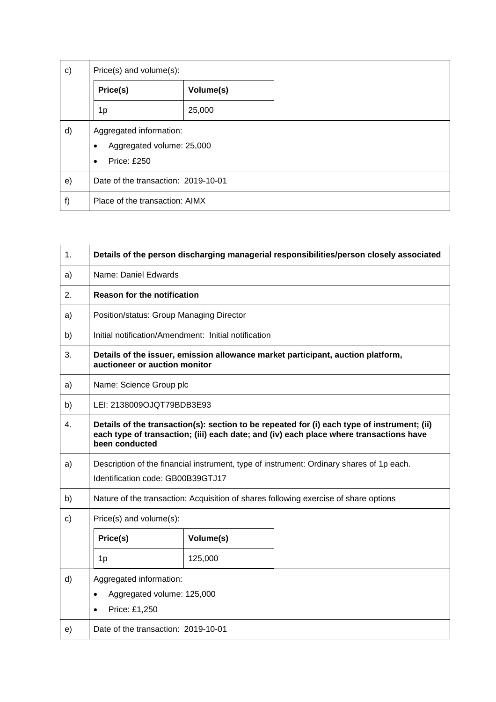| $\mathsf{c})$ | Price(s) and volume(s):                                                                      |           |  |
|---------------|----------------------------------------------------------------------------------------------|-----------|--|
|               | Price(s)                                                                                     | Volume(s) |  |
|               | 1p                                                                                           | 25,000    |  |
| d)            | Aggregated information:<br>Aggregated volume: 25,000<br>٠<br><b>Price: £250</b><br>$\bullet$ |           |  |
| e)            | Date of the transaction: 2019-10-01                                                          |           |  |
| f)            | Place of the transaction: AIMX                                                               |           |  |

| 1.           | Details of the person discharging managerial responsibilities/person closely associated                                                                                                                 |           |  |
|--------------|---------------------------------------------------------------------------------------------------------------------------------------------------------------------------------------------------------|-----------|--|
| a)           | Name: Daniel Edwards                                                                                                                                                                                    |           |  |
| 2.           | <b>Reason for the notification</b>                                                                                                                                                                      |           |  |
| a)           | Position/status: Group Managing Director                                                                                                                                                                |           |  |
| b)           | Initial notification/Amendment: Initial notification                                                                                                                                                    |           |  |
| 3.           | Details of the issuer, emission allowance market participant, auction platform,<br>auctioneer or auction monitor                                                                                        |           |  |
| a)           | Name: Science Group plc                                                                                                                                                                                 |           |  |
| b)           | LEI: 2138009OJQT79BDB3E93                                                                                                                                                                               |           |  |
| 4.           | Details of the transaction(s): section to be repeated for (i) each type of instrument; (ii)<br>each type of transaction; (iii) each date; and (iv) each place where transactions have<br>been conducted |           |  |
| a)           | Description of the financial instrument, type of instrument: Ordinary shares of 1p each.<br>Identification code: GB00B39GTJ17                                                                           |           |  |
| b)           | Nature of the transaction: Acquisition of shares following exercise of share options                                                                                                                    |           |  |
| $\mathsf{C}$ | Price(s) and volume(s):                                                                                                                                                                                 |           |  |
|              | Price(s)                                                                                                                                                                                                | Volume(s) |  |
|              | 1 <sub>p</sub>                                                                                                                                                                                          | 125,000   |  |
| d)           | Aggregated information:<br>Aggregated volume: 125,000<br>$\bullet$<br>Price: £1,250                                                                                                                     |           |  |
| e)           | Date of the transaction: 2019-10-01                                                                                                                                                                     |           |  |